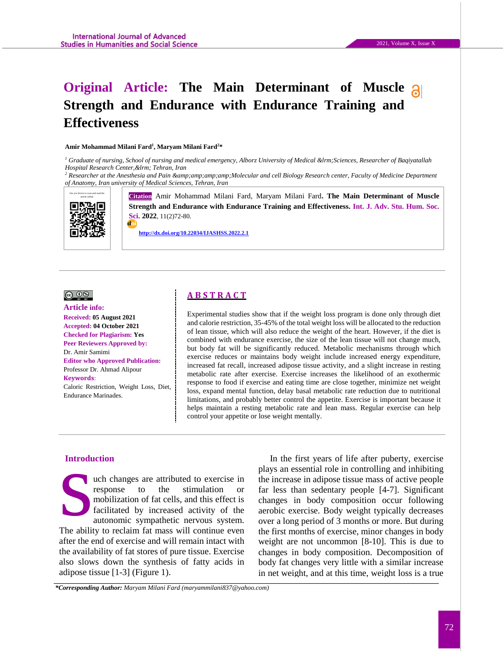# **Original Article: The Main Determinant of Muscle Strength and Endurance with Endurance Training and Effectiveness**

#### **Amir Mohammad Milani Fard<sup>1</sup> , Maryam Milani Fard<sup>2</sup>\***

<sup>1</sup> Graduate of nursing, School of nursing and medical emergency, Alborz University of Medical &Irm; Sciences, Researcher of Baqiyatallah *Hospital Research Center, ‎ Tehran, Iran* 

<sup>2</sup> Researcher at the Anesthesia and Pain &amp;amp;amp;Amp;Molecular and cell Biology Research center, Faculty of Medicine Department *of Anatomy, Iran university of Medical Sciences, Tehran, Iran*



**Citation** Amir Mohammad Milani Fard, Maryam Milani Fard. The Main Determinant of Muscle **Strength and Endurance with Endurance Training and Effectiveness. Int. J. Adv. Stu. Hum. Soc. Sci. 2022**, 11(2)72-80.

 **<http://dx.doi.org/10.22034/IJASHSS.2022.2.1>**



## **Article info:**

#### **Received: 05 August 2021 Accepted: 04 October 2021 Checked for Plagiarism: Yes Peer Reviewers Approved by:**  Dr. Amir Samimi

**Editor who Approved Publication:**  [Professor Dr. Ahmad Alipour](http://www.ijashss.com/journal/editorial.board?edbc=8091) **Keywords**: Caloric Restriction, Weight Loss, Diet, Endurance Marinades.

# **A B S T R A C T**

Experimental studies show that if the weight loss program is done only through diet and calorie restriction, 35-45% of the total weight loss will be allocated to the reduction of lean tissue, which will also reduce the weight of the heart. However, if the diet is combined with endurance exercise, the size of the lean tissue will not change much, but body fat will be significantly reduced. Metabolic mechanisms through which exercise reduces or maintains body weight include increased energy expenditure, increased fat recall, increased adipose tissue activity, and a slight increase in resting metabolic rate after exercise. Exercise increases the likelihood of an exothermic response to food if exercise and eating time are close together, minimize net weight loss, expand mental function, delay basal metabolic rate reduction due to nutritional limitations, and probably better control the appetite. Exercise is important because it helps maintain a resting metabolic rate and lean mass. Regular exercise can help control your appetite or lose weight mentally.

### **Introduction**

uch changes are attributed to exercise in response to the stimulation or mobilization of fat cells, and this effect is facilitated by increased activity of the autonomic sympathetic nervous system. The ability to reclaim fat mass will continue even after the end of exercise and will remain intact with the availability of fat stores of pure tissue. Exercise also slows down the synthesis of fatty acids in adipose tissue [1-3] (Figure 1). Introdu<br>
S

In the first years of life after puberty, exercise plays an essential role in controlling and inhibiting the increase in adipose tissue mass of active people far less than sedentary people [4-7]. Significant changes in body composition occur following aerobic exercise. Body weight typically decreases over a long period of 3 months or more. But during the first months of exercise, minor changes in body weight are not uncommon [8-10]. This is due to changes in body composition. Decomposition of body fat changes very little with a similar increase in net weight, and at this time, weight loss is a true

*\*Corresponding Author: Maryam Milani Fard (maryammilani837@yahoo.com)*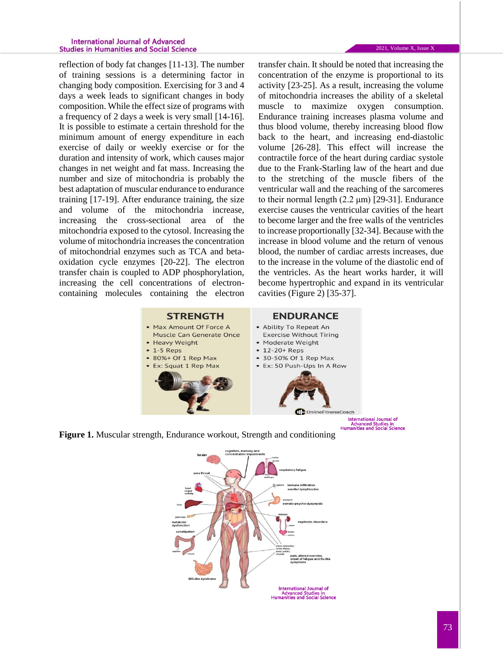#### **International Journal of Advanced Studies in Humanities and Social Science**

reflection of body fat changes [11-13]. The number of training sessions is a determining factor in changing body composition. Exercising for 3 and 4 days a week leads to significant changes in body composition. While the effect size of programs with a frequency of 2 days a week is very small [14-16]. It is possible to estimate a certain threshold for the minimum amount of energy expenditure in each exercise of daily or weekly exercise or for the duration and intensity of work, which causes major changes in net weight and fat mass. Increasing the number and size of mitochondria is probably the best adaptation of muscular endurance to endurance training [17-19]. After endurance training, the size and volume of the mitochondria increase, increasing the cross-sectional area of the mitochondria exposed to the cytosol. Increasing the volume of mitochondria increases the concentration of mitochondrial enzymes such as TCA and betaoxidation cycle enzymes [20-22]. The electron transfer chain is coupled to ADP phosphorylation, increasing the cell concentrations of electroncontaining molecules containing the electron

transfer chain. It should be noted that increasing the concentration of the enzyme is proportional to its activity [23-25]. As a result, increasing the volume of mitochondria increases the ability of a skeletal muscle to maximize oxygen consumption. Endurance training increases plasma volume and thus blood volume, thereby increasing blood flow back to the heart, and increasing end-diastolic volume [26-28]. This effect will increase the contractile force of the heart during cardiac systole due to the Frank-Starling law of the heart and due to the stretching of the muscle fibers of the ventricular wall and the reaching of the sarcomeres to their normal length (2.2 μm) [29-31]. Endurance exercise causes the ventricular cavities of the heart to become larger and the free walls of the ventricles to increase proportionally [32-34]. Because with the increase in blood volume and the return of venous blood, the number of cardiac arrests increases, due to the increase in the volume of the diastolic end of the ventricles. As the heart works harder, it will become hypertrophic and expand in its ventricular cavities (Figure 2) [35-37].





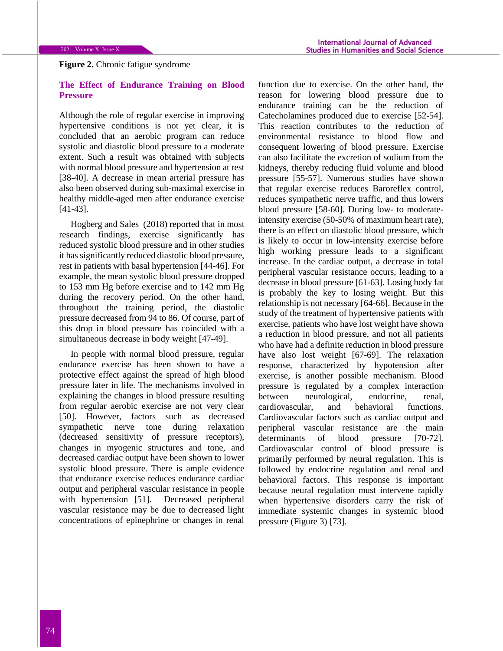# **Figure 2.** Chronic fatigue syndrome

## **The Effect of Endurance Training on Blood Pressure**

Although the role of regular exercise in improving hypertensive conditions is not yet clear, it is concluded that an aerobic program can reduce systolic and diastolic blood pressure to a moderate extent. Such a result was obtained with subjects with normal blood pressure and hypertension at rest [38-40]. A decrease in mean arterial pressure has also been observed during sub-maximal exercise in healthy middle-aged men after endurance exercise [41-43].

Hogberg and Sales (2018) reported that in most research findings, exercise significantly has reduced systolic blood pressure and in other studies it has significantly reduced diastolic blood pressure, rest in patients with basal hypertension [44-46]. For example, the mean systolic blood pressure dropped to 153 mm Hg before exercise and to 142 mm Hg during the recovery period. On the other hand, throughout the training period, the diastolic pressure decreased from 94 to 86. Of course, part of this drop in blood pressure has coincided with a simultaneous decrease in body weight [47-49].

In people with normal blood pressure, regular endurance exercise has been shown to have a protective effect against the spread of high blood pressure later in life. The mechanisms involved in explaining the changes in blood pressure resulting from regular aerobic exercise are not very clear [50]. However, factors such as decreased sympathetic nerve tone during relaxation (decreased sensitivity of pressure receptors), changes in myogenic structures and tone, and decreased cardiac output have been shown to lower systolic blood pressure. There is ample evidence that endurance exercise reduces endurance cardiac output and peripheral vascular resistance in people with hypertension [51]. Decreased peripheral vascular resistance may be due to decreased light concentrations of epinephrine or changes in renal

function due to exercise. On the other hand, the reason for lowering blood pressure due to endurance training can be the reduction of Catecholamines produced due to exercise [52-54]. This reaction contributes to the reduction of environmental resistance to blood flow and consequent lowering of blood pressure. Exercise can also facilitate the excretion of sodium from the kidneys, thereby reducing fluid volume and blood pressure [55-57]. Numerous studies have shown that regular exercise reduces Baroreflex control, reduces sympathetic nerve traffic, and thus lowers blood pressure [58-60]. During low- to moderateintensity exercise (50-50% of maximum heart rate), there is an effect on diastolic blood pressure, which is likely to occur in low-intensity exercise before high working pressure leads to a significant increase. In the cardiac output, a decrease in total peripheral vascular resistance occurs, leading to a decrease in blood pressure [61-63]. Losing body fat is probably the key to losing weight. But this relationship is not necessary [64-66]. Because in the study of the treatment of hypertensive patients with exercise, patients who have lost weight have shown a reduction in blood pressure, and not all patients who have had a definite reduction in blood pressure have also lost weight [67-69]. The relaxation response, characterized by hypotension after exercise, is another possible mechanism. Blood pressure is regulated by a complex interaction between neurological, endocrine, renal, cardiovascular, and behavioral functions. Cardiovascular factors such as cardiac output and peripheral vascular resistance are the main determinants of blood pressure [70-72]. Cardiovascular control of blood pressure is primarily performed by neural regulation. This is followed by endocrine regulation and renal and behavioral factors. This response is important because neural regulation must intervene rapidly when hypertensive disorders carry the risk of immediate systemic changes in systemic blood pressure (Figure 3) [73].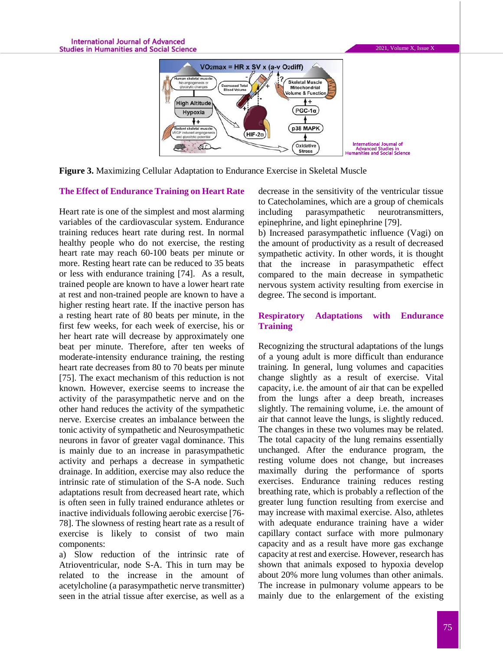

**Figure 3.** Maximizing Cellular Adaptation to Endurance Exercise in Skeletal Muscle

#### **The Effect of Endurance Training on Heart Rate**

Heart rate is one of the simplest and most alarming variables of the cardiovascular system. Endurance training reduces heart rate during rest. In normal healthy people who do not exercise, the resting heart rate may reach 60-100 beats per minute or more. Resting heart rate can be reduced to 35 beats or less with endurance training [74]. As a result, trained people are known to have a lower heart rate at rest and non-trained people are known to have a higher resting heart rate. If the inactive person has a resting heart rate of 80 beats per minute, in the first few weeks, for each week of exercise, his or her heart rate will decrease by approximately one beat per minute. Therefore, after ten weeks of moderate-intensity endurance training, the resting heart rate decreases from 80 to 70 beats per minute [75]. The exact mechanism of this reduction is not known. However, exercise seems to increase the activity of the parasympathetic nerve and on the other hand reduces the activity of the sympathetic nerve. Exercise creates an imbalance between the tonic activity of sympathetic and Neurosympathetic neurons in favor of greater vagal dominance. This is mainly due to an increase in parasympathetic activity and perhaps a decrease in sympathetic drainage. In addition, exercise may also reduce the intrinsic rate of stimulation of the S-A node. Such adaptations result from decreased heart rate, which is often seen in fully trained endurance athletes or inactive individuals following aerobic exercise [76- 78]. The slowness of resting heart rate as a result of exercise is likely to consist of two main components:

a) Slow reduction of the intrinsic rate of Atrioventricular, node S-A. This in turn may be related to the increase in the amount of acetylcholine (a parasympathetic nerve transmitter) seen in the atrial tissue after exercise, as well as a

decrease in the sensitivity of the ventricular tissue to Catecholamines, which are a group of chemicals including parasympathetic neurotransmitters, epinephrine, and light epinephrine [79].

b) Increased parasympathetic influence (Vagi) on the amount of productivity as a result of decreased sympathetic activity. In other words, it is thought that the increase in parasympathetic effect compared to the main decrease in sympathetic nervous system activity resulting from exercise in degree. The second is important.

## **Respiratory Adaptations with Endurance Training**

Recognizing the structural adaptations of the lungs of a young adult is more difficult than endurance training. In general, lung volumes and capacities change slightly as a result of exercise. Vital capacity, i.e. the amount of air that can be expelled from the lungs after a deep breath, increases slightly. The remaining volume, i.e. the amount of air that cannot leave the lungs, is slightly reduced. The changes in these two volumes may be related. The total capacity of the lung remains essentially unchanged. After the endurance program, the resting volume does not change, but increases maximally during the performance of sports exercises. Endurance training reduces resting breathing rate, which is probably a reflection of the greater lung function resulting from exercise and may increase with maximal exercise. Also, athletes with adequate endurance training have a wider capillary contact surface with more pulmonary capacity and as a result have more gas exchange capacity at rest and exercise. However, research has shown that animals exposed to hypoxia develop about 20% more lung volumes than other animals. The increase in pulmonary volume appears to be mainly due to the enlargement of the existing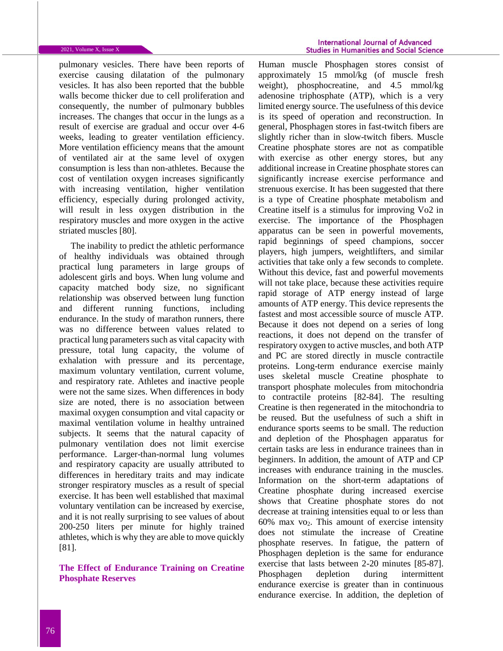pulmonary vesicles. There have been reports of exercise causing dilatation of the pulmonary vesicles. It has also been reported that the bubble walls become thicker due to cell proliferation and consequently, the number of pulmonary bubbles increases. The changes that occur in the lungs as a result of exercise are gradual and occur over 4-6 weeks, leading to greater ventilation efficiency. More ventilation efficiency means that the amount of ventilated air at the same level of oxygen consumption is less than non-athletes. Because the cost of ventilation oxygen increases significantly with increasing ventilation, higher ventilation efficiency, especially during prolonged activity, will result in less oxygen distribution in the respiratory muscles and more oxygen in the active striated muscles [80].

The inability to predict the athletic performance of healthy individuals was obtained through practical lung parameters in large groups of adolescent girls and boys. When lung volume and capacity matched body size, no significant relationship was observed between lung function and different running functions, including endurance. In the study of marathon runners, there was no difference between values related to practical lung parameters such as vital capacity with pressure, total lung capacity, the volume of exhalation with pressure and its percentage, maximum voluntary ventilation, current volume, and respiratory rate. Athletes and inactive people were not the same sizes. When differences in body size are noted, there is no association between maximal oxygen consumption and vital capacity or maximal ventilation volume in healthy untrained subjects. It seems that the natural capacity of pulmonary ventilation does not limit exercise performance. Larger-than-normal lung volumes and respiratory capacity are usually attributed to differences in hereditary traits and may indicate stronger respiratory muscles as a result of special exercise. It has been well established that maximal voluntary ventilation can be increased by exercise, and it is not really surprising to see values of about 200-250 liters per minute for highly trained athletes, which is why they are able to move quickly [81].

**The Effect of Endurance Training on Creatine Phosphate Reserves**

Human muscle Phosphagen stores consist of approximately 15 mmol/kg (of muscle fresh weight), phosphocreatine, and 4.5 mmol/kg adenosine triphosphate (ATP), which is a very limited energy source. The usefulness of this device is its speed of operation and reconstruction. In general, Phosphagen stores in fast-twitch fibers are slightly richer than in slow-twitch fibers. Muscle Creatine phosphate stores are not as compatible with exercise as other energy stores, but any additional increase in Creatine phosphate stores can significantly increase exercise performance and strenuous exercise. It has been suggested that there is a type of Creatine phosphate metabolism and Creatine itself is a stimulus for improving Vo2 in exercise. The importance of the Phosphagen apparatus can be seen in powerful movements, rapid beginnings of speed champions, soccer players, high jumpers, weightlifters, and similar activities that take only a few seconds to complete. Without this device, fast and powerful movements will not take place, because these activities require rapid storage of ATP energy instead of large amounts of ATP energy. This device represents the fastest and most accessible source of muscle ATP. Because it does not depend on a series of long reactions, it does not depend on the transfer of respiratory oxygen to active muscles, and both ATP and PC are stored directly in muscle contractile proteins. Long-term endurance exercise mainly uses skeletal muscle Creatine phosphate to transport phosphate molecules from mitochondria to contractile proteins [82-84]. The resulting Creatine is then regenerated in the mitochondria to be reused. But the usefulness of such a shift in endurance sports seems to be small. The reduction and depletion of the Phosphagen apparatus for certain tasks are less in endurance trainees than in beginners. In addition, the amount of ATP and CP increases with endurance training in the muscles. Information on the short-term adaptations of Creatine phosphate during increased exercise shows that Creatine phosphate stores do not decrease at training intensities equal to or less than  $60\%$  max vo<sub>2</sub>. This amount of exercise intensity does not stimulate the increase of Creatine phosphate reserves. In fatigue, the pattern of Phosphagen depletion is the same for endurance exercise that lasts between 2-20 minutes [85-87]. Phosphagen depletion during intermittent endurance exercise is greater than in continuous endurance exercise. In addition, the depletion of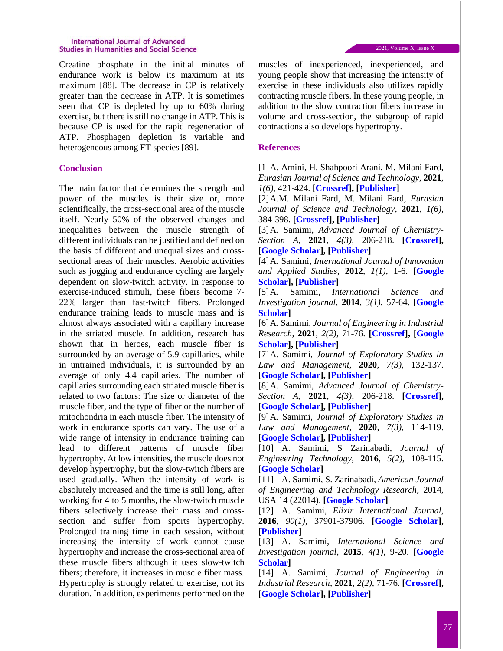#### **International Journal of Advanced Studies in Humanities and Social Science**

Creatine phosphate in the initial minutes of endurance work is below its maximum at its maximum [88]. The decrease in CP is relatively greater than the decrease in ATP. It is sometimes seen that CP is depleted by up to 60% during exercise, but there is still no change in ATP. This is because CP is used for the rapid regeneration of ATP. Phosphagen depletion is variable and heterogeneous among FT species [89].

## **Conclusion**

The main factor that determines the strength and power of the muscles is their size or, more scientifically, the cross-sectional area of the muscle itself. Nearly 50% of the observed changes and inequalities between the muscle strength of different individuals can be justified and defined on the basis of different and unequal sizes and crosssectional areas of their muscles. Aerobic activities such as jogging and endurance cycling are largely dependent on slow-twitch activity. In response to exercise-induced stimuli, these fibers become 7- 22% larger than fast-twitch fibers. Prolonged endurance training leads to muscle mass and is almost always associated with a capillary increase in the striated muscle. In addition, research has shown that in heroes, each muscle fiber is surrounded by an average of 5.9 capillaries, while in untrained individuals, it is surrounded by an average of only 4.4 capillaries. The number of capillaries surrounding each striated muscle fiber is related to two factors: The size or diameter of the muscle fiber, and the type of fiber or the number of mitochondria in each muscle fiber. The intensity of work in endurance sports can vary. The use of a wide range of intensity in endurance training can lead to different patterns of muscle fiber hypertrophy. At low intensities, the muscle does not develop hypertrophy, but the slow-twitch fibers are used gradually. When the intensity of work is absolutely increased and the time is still long, after working for 4 to 5 months, the slow-twitch muscle fibers selectively increase their mass and crosssection and suffer from sports hypertrophy. Prolonged training time in each session, without increasing the intensity of work cannot cause hypertrophy and increase the cross-sectional area of these muscle fibers although it uses slow-twitch fibers; therefore, it increases in muscle fiber mass. Hypertrophy is strongly related to exercise, not its duration. In addition, experiments performed on the

muscles of inexperienced, inexperienced, and young people show that increasing the intensity of exercise in these individuals also utilizes rapidly contracting muscle fibers. In these young people, in addition to the slow contraction fibers increase in volume and cross-section, the subgroup of rapid contractions also develops hypertrophy.

#### **References**

[1]A. Amini, H. Shahpoori Arani, M. Milani Fard, *Eurasian Journal of Science and Technology*, **2021**, *1(6)*, 421-424. **[\[Crossref\]](10.22034/jstr.2021.291347.1050), [\[Publisher\]](http://ejst.samipubco.com/article_133942.html)**

[2]A.M. Milani Fard, M. Milani Fard, *Eurasian Journal of Science and Technology*, **2021**, *1(6)*, 384-398. **[\[Crossref\]](10.22034/jstr.2021.289470.1047), [\[Publisher\]](http://ejst.samipubco.com/article_132494.html)**

[3]A. Samimi, *Advanced Journal of Chemistry-Section A*, **2021**, *4(3)*, 206-218. **[\[Crossref\]](http://dx.doi.org/10.22034/ajca.2021.277905.1248), [\[Google Scholar\]](https://scholar.google.com/citations?hl=en&user=YhvFZdcAAAAJ&view_op=list_works&sortby=pubdate), [\[Publisher\]](http://www.ajchem-a.com/article_130196.html)**

[4]A. Samimi, *International Journal of Innovation and Applied Studies*, **2012**, *1(1)*, 1-6. **[\[Google](https://scholar.google.com/citations?hl=en&user=YhvFZdcAAAAJ&view_op=list_works&sortby=pubdate)  [Scholar\]](https://scholar.google.com/citations?hl=en&user=YhvFZdcAAAAJ&view_op=list_works&sortby=pubdate), [\[Publisher\]](https://hal.archives-ouvertes.fr/hal-00771567)**

[5]A. Samimi, *International Science and Investigation journal*, **2014**, *3(1)*, 57-64. **[\[Google](https://scholar.google.com/citations?hl=en&user=YhvFZdcAAAAJ&view_op=list_works&sortby=pubdate)  [Scholar\]](https://scholar.google.com/citations?hl=en&user=YhvFZdcAAAAJ&view_op=list_works&sortby=pubdate)**

[6]A. Samimi, *Journal of Engineering in Industrial Research*, **2021**, *2(2)*, 71-76. **[\[Crossref\]](http://dx.doi.org/10.22034/jeires.2021.269282.1021), [\[Google](https://scholar.google.com/citations?hl=en&user=YhvFZdcAAAAJ&view_op=list_works&sortby=pubdate)  [Scholar\]](https://scholar.google.com/citations?hl=en&user=YhvFZdcAAAAJ&view_op=list_works&sortby=pubdate), [\[Publisher\]](http://www.jeires.com/article_129037.html)**

[7]A. Samimi, *Journal of Exploratory Studies in Law and Management*, **2020**, *7(3)*, 132-137. **[\[Google Scholar\]](https://scholar.google.com/citations?hl=en&user=YhvFZdcAAAAJ&view_op=list_works&sortby=pubdate), [\[Publisher\]](http://worldofresearches.com/ojs-2.4.4-1/index.php/CJNMS/article/view/941)**

[8]A. Samimi, *Advanced Journal of Chemistry-Section A*, **2021**, *4(3)*, 206-218. **[\[Crossref\]](10.22034/ajca.2021.277905.1248), [\[Google Scholar\]](https://scholar.google.com/citations?hl=en&user=YhvFZdcAAAAJ&view_op=list_works&sortby=pubdate), [\[Publisher\]](http://www.ajchem-a.com/article_130196.html)**

[9]A. Samimi, *Journal of Exploratory Studies in Law and Management*, **2020**, *7(3)*, 114-119. **[\[Google Scholar\]](https://scholar.google.com/citations?hl=en&user=YhvFZdcAAAAJ&view_op=list_works&sortby=pubdate), [\[Publisher\]](http://worldofresearches.com/ojs-2.4.4-1/index.php/CJNMS/issue/view/115)**

[10] A. Samimi, S Zarinabadi, *Journal of Engineering Technology*, **2016**, *5(2)*, 108-115. **[\[Google Scholar\]](https://scholar.google.com/citations?hl=en&user=YhvFZdcAAAAJ&view_op=list_works&sortby=pubdate)**

[11] A. Samimi, S. Zarinabadi, *American Journal of Engineering and Technology Research*, 2014, USA 14 (22014). **[\[Google Scholar\]](https://scholar.google.com/citations?hl=en&user=YhvFZdcAAAAJ&view_op=list_works&sortby=pubdate)**

[12] A. Samimi, *Elixir International Journal*, **2016**, *90(1)*, 37901-37906. **[\[Google Scholar\]](https://scholar.google.com/citations?hl=en&user=YhvFZdcAAAAJ&view_op=list_works&sortby=pubdate), [\[Publisher\]](https://www.elixirpublishers.com/index.php?route=articles/archives&month=January&year=2016&sort=a.title&order=DESC&page=4)**

[13] A. Samimi, *International Science and Investigation journal*, **2015**, *4(1)*, 9-20. **[\[Google](https://scholar.google.com/citations?hl=en&user=YhvFZdcAAAAJ&view_op=list_works&sortby=pubdate)  [Scholar\]](https://scholar.google.com/citations?hl=en&user=YhvFZdcAAAAJ&view_op=list_works&sortby=pubdate)**

[14] A. Samimi, *Journal of Engineering in Industrial Research*, **2021**, *2(2)*, 71-76. **[\[Crossref\]](https://dx.doi.org/10.22034/jeires.2021.269282.1021), [\[Google Scholar\]](https://scholar.google.com/citations?hl=en&user=YhvFZdcAAAAJ&view_op=list_works&sortby=pubdate), [\[Publisher\]](http://www.jeires.com/article_129037.html)**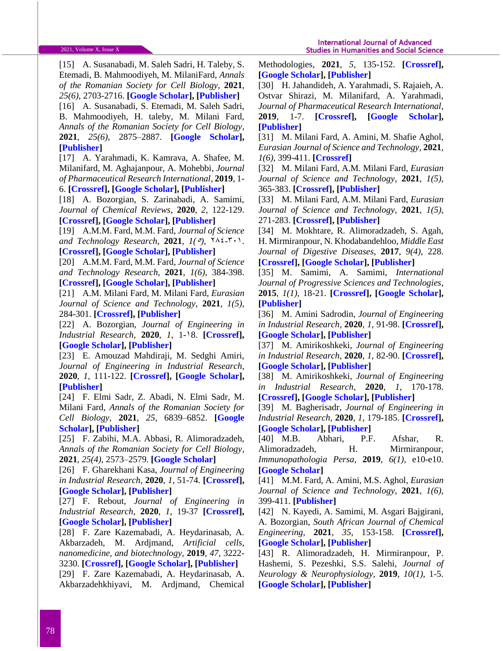[15] A. Susanabadi, M. Saleh Sadri, H. Taleby, S. Etemadi, B. Mahmoodiyeh, M. MilaniFard, *Annals of the Romanian Society for Cell Biology*, **2021**, *25(6)*, 2703-2716. **[\[Google Scholar\]](https://scholar.google.com/scholar?hl=en&as_sdt=0%2C5&q=A+Susanabadi%2C+M+Saleh+Sadri%2C+H+Taleby%2C+S+Etemadi%2C+B+Mahmoodiyeh%2C+M+MilaniFard%2C+Evaluating+the+Outcome+of+Total+Intravenous+Anesthesia+and+Single+Drug+Pharmacological+to+Prevent+Postoperative+Vomiting%3A+Systematic+Review+and+Meta-Analysis%2C+Annals+of+the+&btnG=), [\[Publisher\]](https://www.annalsofrscb.ro/index.php/journal/article/view/5896)** [16] A. Susanabadi, S. Etemadi, M. Saleh Sadri,

B. Mahmoodiyeh, H. taleby, M. Milani Fard, *Annals of the Romanian Society for Cell Biology*, **2021**, *25(6)*, 2875–2887. **[\[Google Scholar\]](https://scholar.google.com/scholar?hl=en&as_sdt=0%2C5&q=A+Susanabadi%2C+S+Etemadi%2C+M+Saleh+Sadri%2C+B+Mahmoodiyeh%2C+H+taleby%2C+Ma+MilaniFard%2C+Comparing+Transversus+Abdominis+Plane+Block+and+Wound+Infiltration+without+Liposome+Anesthetics+in+Adult+Patients%3A+Systematic+Review+and+Meta-Analysis%2C+Annals+of+the+Romani&btnG=), [\[Publisher\]](https://www.annalsofrscb.ro/index.php/journal/article/view/5916)**

[17] A. Yarahmadi, K. Kamrava, A. Shafee, M. Milanifard, M. Aghajanpour, A. Mohebbi*, Journal of Pharmaceutical Research International*, **2019**, 1- 6. **[\[Crossref\]](10.9734/jpri/2019/v31i630369), [\[Google Scholar\]](https://scholar.google.com/scholar?hl=en&as_sdt=0%2C5&q=Investigation+of+Olfactory+Function+Following+Septorhinoplasty+in+Iranian+Population+by+Rapid+Smell+Test+%28RST%29&btnG=), [\[Publisher\]](https://www.journaljpri.com/index.php/JPRI/article/view/30369)**

[18] A. Bozorgian, S. Zarinabadi, A. Samimi, *Journal of Chemical Reviews*, **2020**, *2*, 122-129. **[\[Crossref\]](https://dx.doi.org/10.33945/SAMI/JCR.2020.2.5), [\[Google Scholar\]](https://scholar.google.com/scholar?hl=en&as_sdt=0%2C5&q=+Optimization+of+Well+Production+by+Designing+a+Core+pipe+in+one+of+the+Southwest+oil+Wells+of+Iran&btnG=), [\[Publisher\]](http://www.jchemrev.com/article_103699.html)**

[19] A.M.M. Fard, M.M. Fard, *Journal of Science and Technology Research, 2021,*  $1(0)$ *,*  $\{16.7\}$ *.* 

**[\[Crossref\]](https://doi.org/10.22034/JSTR.2021.289424.1046), [\[Google Scholar\]](https://scholar.google.com/citations?user=EvCwnBMAAAAJ&hl=en), [\[Publisher\]](http://jstr.samipubco.com/article_132074.html)**

[20] A.M.M. Fard, M.M. Fard, *Journal of Science and Technology Research*, **2021**, *1(6)*, 384-398. **[\[Crossref\]](http://dx.doi.org/10.22034/jstr.2021.289470.1047), [\[Google Scholar\]](https://scholar.google.com/citations?user=EvCwnBMAAAAJ&hl=en), [\[Publisher\]](http://jstr.samipubco.com/article_132494.html)**

[21] A.M. Milani Fard, M. Milani Fard, *Eurasian Journal of Science and Technology*, **2021**, *1(5)*, 284-301. **[\[Crossref\]](https://dx.doi.org/10.22034/jstr.2021.289376.1044), [\[Publisher\]](http://ejst.samipubco.com/article_132072.html)**

[22] A. Bozorgian, *Journal of Engineering in Industrial Research*, **2020**, *1*, 1-38. **[\[Crossref\]](http://dx.doi.org/10.22034/jeires.2020.260854.1000), [\[Google Scholar\]](https://scholar.google.com/scholar?hl=en&as_sdt=0%2C5&q=Investigation+of+the+history+of+formation+of+gas+hydrates%2C+&btnG=), [\[Publisher\]](http://www.jeires.com/article_120226.html)**

[23] E. Amouzad Mahdiraji, M. Sedghi Amiri, *Journal of Engineering in Industrial Research*, **2020**, *1*, 111-122. **[\[Crossref\]](http://dx.doi.org/10.22034/jeires.2020.261386.1004), [\[Google Scholar\]](https://scholar.google.com/scholar?hl=en&as_sdt=0%2C5&q=Optimization+of+Market+Clearing+Process+in+Power+System+with+NSGA+Algorithm&btnG=), [\[Publisher\]](http://www.jeires.com/article_120273.html)**

[24] F. Elmi Sadr, Z. Abadi, N. Elmi Sadr, M. Milani Fard, *Annals of the Romanian Society for Cell Biology,* **2021**, *25*, 6839–6852. **[\[Google](https://scholar.google.com/scholar?hl=en&as_sdt=0%2C5&q=F+Elmi+Sadr%2C+Z+Abadi%2C+N+Elmi+Sadr%2C+M+Milani+Fard%2C+Annals+of+the+Romanian+Society+for+Cell+Biology&btnG=)  [Scholar\]](https://scholar.google.com/scholar?hl=en&as_sdt=0%2C5&q=F+Elmi+Sadr%2C+Z+Abadi%2C+N+Elmi+Sadr%2C+M+Milani+Fard%2C+Annals+of+the+Romanian+Society+for+Cell+Biology&btnG=), [\[Publisher\]](https://www.annalsofrscb.ro/index.php/journal/article/view/852)**

[25] F. Zabihi, M.A. Abbasi, R. Alimoradzadeh, *Annals of the Romanian Society for Cell Biology*, **2021**, *25(4)*, 2573–2579. **[\[Google Scholar\]](https://scholar.google.com/scholar?hl=en&as_sdt=0%2C5&q=F+Zabihi%2C+MA+Abbasi%2C+R+Alimoradzadeh%2C+The+Association+of+Serum+Albumin+Level+with+Cognition+and+Daily+Function+in+Patients+Undergoing+Hemodialysis%2C+Annals+of+the+Romanian+Society+for+Cell+Biology&btnG=)**

[26] F. Gharekhani Kasa, *Journal of Engineering in Industrial Research*, **2020**, *1*, 51-74. **[\[Crossref\]](http://dx.doi.org/10.22034/jeires.2020.262801.1008), [\[Google Scholar\]](https://scholar.google.com/scholar?hl=en&as_sdt=0%2C5&q=A+Study+of+the+Architectural+Design+of+Contemporary+Museums+in+Iran%2C&btnG=), [\[Publisher\]](http://www.jeires.com/article_120681.html)**

[27] F. Rebout, *Journal of Engineering in Industrial Research*, **2020**, *1*, 19-37 **[\[Crossref\]](http://dx.doi.org/10.22034/jeires.2020.262514.1006), [\[Google Scholar\]](https://scholar.google.com/scholar?hl=en&as_sdt=0%2C5&q=CFA+Performance+Evaluation%3A+a+Comprehensive+Structural+Equation+Modeling%2C+&btnG=), [\[Publisher\]](http://www.jeires.com/article_120575.html)**

[28] F. Zare Kazemabadi, A. Heydarinasab, A. Akbarzadeh, M. Ardjmand, *Artificial cells, nanomedicine, and biotechnology*, **2019**, *47*, 3222- 3230. **[\[Crossref\]](file:///E:/Dr%20Samimi/Bearbeiten/Schablone/Journal%20of%20Science%20and%20Technology%20Research/JSTR-2105-1033/10.1080/21691401.2019.1646265), [\[Google Scholar\]](https://scholar.google.com/citations?hl=en&user=3cWk2lkAAAAJ), [\[Publisher\]](http://www.ijnc.ir/article_38621.html)**

[29] F. Zare Kazemabadi, A. Heydarinasab, A. Akbarzadehkhiyavi, M. Ardjmand, Chemical Methodologies, **2021**, *5*, 135-152. **[\[Crossref\]](http://dx.doi.org/10.22034/chemm.2021.121495), [\[Google Scholar\]](https://scholar.google.com/citations?hl=en&user=3cWk2lkAAAAJ), [\[Publisher\]](http://www.ijnc.ir/article_38621.html)**

[30] H. Jahandideh, A. Yarahmadi, S. Rajaieh, A. Ostvar Shirazi, M. Milanifard, A. Yarahmadi, *Journal of Pharmaceutical Research International*, **2019**, 1-7. **[\[Crossref\]](10.9734/jpri/2019/v31i630380), [\[Google Scholar\]](https://scholar.google.com/scholar?hl=en&as_sdt=0%2C5&q=+H+Jahandideh%2C+A+Yarahmadi%2C+S+Rajaieh%2C+A+Ostvar+Shirazi%2C+M+Milanifard%2C+A+Yarahmadi%2C+Cone-beam+computed+tomography+guidance+in+functional+endoscopic+sinus+surgery%3A+a+retrospective+cohort+study%2C+Journal+of+Pharmaceutical+Research+International&btnG=), [\[Publisher\]](https://www.journaljpri.com/index.php/JPRI/article/view/30380)**

[31] M. Milani Fard, A. Amini, M. Shafie Aghol, *Eurasian Journal of Science and Technology*, **2021**, *1(6)*, 399-411. **[\[Crossref\]](http://dx.doi.org/10.22034/jstr.2021.291465.1051)**

[32] M. Milani Fard, A.M. Milani Fard, *Eurasian Journal of Science and Technology*, **2021**, *1(5)*, 365-383. **[\[Crossref\]](http://dx.doi.org/10.22034/jstr.2021.289378.1045), [\[Publisher\]](http://ejst.samipubco.com/article_132493.html)**

[33] M. Milani Fard, A.M. Milani Fard, *Eurasian Journal of Science and Technology*, **2021**, *1(5)*, 271-283. **[\[Crossref\]](http://dx.doi.org/10.22034/jstr.2021.289376.1044), [\[Publisher\]](http://ejst.samipubco.com/article_132072.html)**

[34] M. Mokhtare, R. Alimoradzadeh, S. Agah, H. Mirmiranpour, N. Khodabandehloo, *Middle East Journal of Digestive Diseases*, **2017**, *9(4)*, 228. **[\[Crossref\]](https://dx.doi.org/10.15171%2Fmejdd.2017.78), [\[Google Scholar\]](https://scholar.google.com/scholar?hl=en&as_sdt=0%2C5&q=M+Mokhtare%2C+R+Alimoradzadeh%2C+S+Agah%2C+H+Mirmiranpour%2C+N+Khodabandehloo%2C+The+association+between+modulating+inflammatory+cytokines+and+constipation+of+geriatrics+in+Iran%2C+Middle+East+journal+of+digestive+diseases&btnG=), [\[Publisher\]](https://www.ncbi.nlm.nih.gov/pmc/articles/PMC5726336/)**

[35] M. Samimi, A. Samimi, *International Journal of Progressive Sciences and Technologies*, **2015**, *1(1)*, 18-21. **[\[Crossref\]](http://dx.doi.org/10.52155/ijpsat.v1.1.6), [\[Google Scholar\]](https://scholar.google.com/citations?hl=en&user=YhvFZdcAAAAJ&view_op=list_works&sortby=pubdate), [\[Publisher\]](https://ijpsat.ijsht-journals.org/index.php/ijpsat/article/view/6)**

[36] M. Amini Sadrodin, *Journal of Engineering in Industrial Research*, **2020**, *1*, 91-98. **[\[Crossref\]](http://dx.doi.org/10.22034/jeires.2020.263096.1011), [\[Google Scholar\]](https://scholar.google.com/scholar?hl=en&as_sdt=0%2C5&q=Methods+for+determining+dispersed+particles+in+coatings&btnG=), [\[Publisher\]](http://www.jeires.com/article_120803.html)**

[37] M. Amirikoshkeki, *Journal of Engineering in Industrial Research*, **2020**, *1*, 82-90. **[\[Crossref\]](http://dx.doi.org/10.22034/jeires.2020.262978.1010), [Google [Scholar\]](https://scholar.google.com/scholar?hl=en&as_sdt=0%2C5&q=Investigation+of+the+Effect+of+Additives+on+the+Morphology+of+Cr-WC+Nano+Composite+Coatings%2C&btnG=), [\[Publisher\]](http://www.jeires.com/article_120752.html)**

[38] M. Amirikoshkeki, *Journal of Engineering in Industrial Research*, **2020**, *1*, 170-178. **[\[Crossref\]](http://dx.doi.org/10.22034/jeires.2021.265411.1015), [\[Google Scholar\]](https://scholar.google.com/scholar?hl=en&as_sdt=0%2C5&q=Investigation+the+Input+Temperature+of+Catalytic+Conversion+Unit+Reactors+Efficiency+on+Octane+Number&btnG=), [\[Publisher\]](http://www.jeires.com/article_121770.html)**

[39] M. Bagherisadr, *Journal of Engineering in Industrial Research*, **2020**, *1*, 179-185. **[\[Crossref\]](http://dx.doi.org/10.22034/jeires.2021.265418.1016), [\[Google Scholar\]](https://scholar.google.com/scholar?hl=en&as_sdt=0%2C5&q=Investigation+the+Effect+of+Changes+in+feed+Distillation+Rates+of+Catalytic+Conversion+of+Continuous+Reduction+on+Octane+Number&btnG=), [\[Publisher\]](http://www.jeires.com/article_121771.html)**

[40] M.B. Abhari, P.F. Afshar, R. Alimoradzadeh, H. Mirmiranpour, *Immunopathologia Persa*, **2019**, *6(1)*, e10-e10. **[\[Google Scholar\]](https://scholar.google.com/scholar?hl=en&as_sdt=0%2C5&q=MB+Abhari%2C+PF+Afshar%2C+R+Alimoradzadeh%2C+H+Mirmiranpour%2C+Comparing+the+effect+of+including+omega-3+to+treatment+regimen+in+elderly+patients+with+ulcerative+colitis+with+placebo%3A+A+randomized+clinical+tria%2C+Immunopathologia+Persa&btnG=)**

[41] M.M. Fard, A. Amini, M.S. Aghol, *Eurasian Journal of Science and Technology*, **2021**, *1(6)*, 399-411. **[\[Publisher\]](http://ejst.samipubco.com/article_133219.html)**

[42] N. Kayedi, A. Samimi, M. Asgari Bajgirani, A. Bozorgian, *South African Journal of Chemical Engineering*, **2021**, *35*, 153-158. **[\[Crossref\]](https://doi.org/10.1016/j.sajce.2020.09.001), [\[Google Scholar\]](https://scholar.google.com/scholar?hl=en&as_sdt=0%2C5&q=Enhanced+oxidative+desulfurization+of+model+fuel%3A+A+comprehensive+experimental+study&btnG=), [\[Publisher\]](https://www.sciencedirect.com/science/article/pii/S1026918520300494)**

[43] R. Alimoradzadeh, H. Mirmiranpour, P. Hashemi, S. Pezeshki, S.S. Salehi, *Journal of Neurology & Neurophysiology*, **2019**, *10(1)*, 1-5. **[\[Google Scholar\]](https://scholar.google.com/scholar?hl=en&as_sdt=0%2C5&q=R+Alimoradzadeh%2C+H+Mirmiranpour%2C+P+Hashemi%2C+S+Pezeshki%2C+SS+Salehi%2C+Effect+of+Memantine+on+Oxidative+and+Antioxidant+Indexes+Among+Elderly+Patients+with+Prediabetes+and+Mild+Cognitive+Impairment%2C+Journal+of+Neurology+%26+Neurophysiology+&btnG=), [\[Publisher\]](https://www.iomcworld.org/abstract/effect-of-memantine-on-oxidative-and-antioxidant-indexes-among-elderly-patients-with-prediabetes-and-mild-cognitive-impa-47318.html)**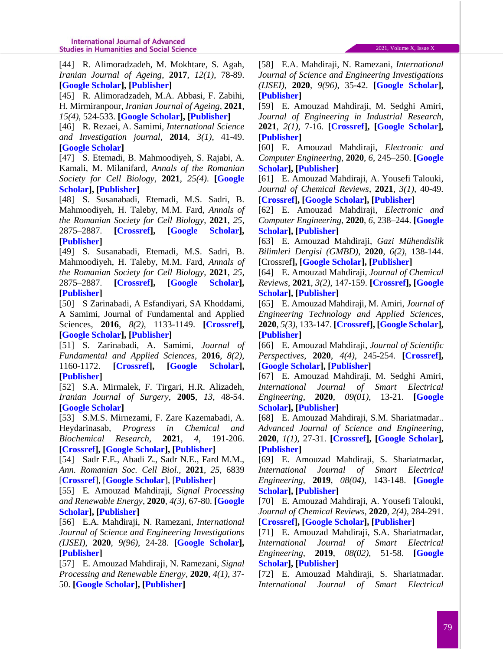[44] R. Alimoradzadeh, M. Mokhtare, S. Agah, *Iranian Journal of Ageing*, **2017**, *12(1)*, 78-89. **[\[Google Scholar\]](https://scholar.google.com/scholar?hl=en&as_sdt=0%2C5&q=R+Alimoradzadeh%2C+M+Mokhtare%2C+S+Agah%2C+Comparing+the+Prevalence+of+Constipation+Risk+Factors+in+the+Elderly+With+and+Without+Constipation+in+Hazrat-e+Rasoul+%28PBUH%29+Hospital%2C+Iranian+Journal+of+Ageing&btnG=), [\[Publisher\]](http://salmandj.uswr.ac.ir/browse.php?a_id=1201&sid=1&slc_lang=en&html=1)**

[45] R. Alimoradzadeh, M.A. Abbasi, F. Zabihi, H. Mirmiranpour, *Iranian Journal of Ageing*, **2021**, *15(4)*, 524-533. **[\[Google Scholar\]](https://scholar.google.com/scholar?hl=en&as_sdt=0%2C5&q=+R+Alimoradzadeh%2C+MA+Abbasi%2C+F+Zabihi%2C+H+Mirmiranpour%2C+Effect+of+Anesthetics+on+Oxidant+and+Antioxidant+Parameters+After+Inguinal+Hernia+Surgery+in+Older+Patients%2C+Iranian+Journal+of+Ageing&btnG=), [\[Publisher\]](https://salmandj.uswr.ac.ir/browse.php?a_id=2053&slc_lang=en&sid=1&ftxt=1&html=1)**

[46] R. Rezaei, A. Samimi, *International Science and Investigation journal*, **2014**, *3(1)*, 41-49. **[\[Google Scholar\]](https://scholar.google.com/citations?hl=en&user=YhvFZdcAAAAJ&view_op=list_works&sortby=pubdate)**

[47] S. Etemadi, B. Mahmoodiyeh, S. Rajabi, A. Kamali, M. Milanifard, *Annals of the Romanian Society for Cell Biology*, **2021**, *25(4)*. **[\[Google](https://scholar.google.com/scholar?hl=en&as_sdt=0%2C5&q=S+Etemadi%2C+B+Mahmoodiyeh%2C+S+Rajabi%2C+A+Kamali%2C+M+Milanifard%2C+Evaluation+effectiveness+and+safety+of+Hyperbaric+and+Isobaric+Bupivacaine+for+spinal+anesthesia+for+noncesarean+delivery+surgery%3A+A+Systematic+Review+and+Meta-Analysis%2C+Annals+of+the+Romanian&btnG=)  [Scholar\]](https://scholar.google.com/scholar?hl=en&as_sdt=0%2C5&q=S+Etemadi%2C+B+Mahmoodiyeh%2C+S+Rajabi%2C+A+Kamali%2C+M+Milanifard%2C+Evaluation+effectiveness+and+safety+of+Hyperbaric+and+Isobaric+Bupivacaine+for+spinal+anesthesia+for+noncesarean+delivery+surgery%3A+A+Systematic+Review+and+Meta-Analysis%2C+Annals+of+the+Romanian&btnG=), [\[Publisher\]](http://eprints.savehums.ac.ir/387/)**

[48] S. Susanabadi, Etemadi, M.S. Sadri, B. Mahmoodiyeh, H. Taleby, M.M. Fard, *Annals of the Romanian Society for Cell Biology*, **2021**, *25*, 2875–2887. **[\[Crossref\]](https://annalsofrscb.ro/index.php/journal/article/view/5916), [\[Google Scholar\]](https://scholar.google.com/scholar?hl=en&as_sdt=0%2C5&q=Comparing+Transversus+Abdominis+Plane+Block+and+Wound+Infiltration+without+Liposome+Anesthetics+in+Adult+Patients%3A+Systematic+Review+and+Meta-Analysis&btnG=), [\[Publisher\]](https://annalsofrscb.ro/index.php/journal/article/view/5916)**

[49] S. Susanabadi, Etemadi, M.S. Sadri, B. Mahmoodiyeh, H. Taleby, M.M. Fard, *Annals of the Romanian Society for Cell Biology*, **2021**, *25*, 2875–2887. **[\[Crossref\]](https://annalsofrscb.ro/index.php/journal/article/view/5916), [\[Google Scholar\]](https://scholar.google.com/scholar?hl=en&as_sdt=0%2C5&q=Comparing+Transversus+Abdominis+Plane+Block+and+Wound+Infiltration+without+Liposome+Anesthetics+in+Adult+Patients%3A+Systematic+Review+and+Meta-Analysis&btnG=), [\[Publisher\]](https://annalsofrscb.ro/index.php/journal/article/view/5916)**

[50] S Zarinabadi, A Esfandiyari, SA Khoddami, A Samimi, Journal of Fundamental and Applied Sciences, **2016**, *8(2)*, 1133-1149. **[\[Crossref\]](https://doi.org/10.4314/jfas.8vi2s.96), [\[Google Scholar\]](https://scholar.google.com/scholar?hl=en&as_sdt=0%2C5&q=S+Zarinabadi%2C+A+Esfandiyari%2C+SA+Khoddami%2C+A+Samimi%2C+Investigating+the+factor+influencing+the+flow+behavior+and+performance+of+condensate+gas+reservoirs%2C+2016%2C+Journal+of+Fundamental+and+Applied+Sciences+&btnG=), [\[Publisher\]](https://www.ajol.info/index.php/jfas/article/view/142609)**

[51] S. Zarinabadi, A. Samimi, *Journal of Fundamental and Applied Sciences*, **2016**, *8(2)*, 1160-1172. **[\[Crossref\]](https://doi.org/10.4314/jfas.8vi2s.98), [\[Google Scholar\]](https://scholar.google.com/scholar?hl=en&as_sdt=0%2C5&q=S+Zarinabadi%2C+A+Samimi%2C+Investigating+the+effects+of+water+vaporization+on+the+production+of+gas+condensate+reservoirs%2C+2016%2C+Journal+of+Fundamental+and+Applied+Sciences+&btnG=), [\[Publisher\]](https://www.ajol.info/index.php/jfas/article/view/142616)**

[52] S.A. Mirmalek, F. Tirgari, H.R. Alizadeh, *Iranian Journal of Surgery*, **2005**, *13*, 48-54. **[\[Google Scholar\]](https://scholar.google.com/scholar?hl=en&as_sdt=0%2C5&q=+STUDY+AND+COMPARISON+BETWEEN+MALIGNANT+BREAST+TUMORS+AND+RELATED+SUROUNDING+BENIGN+TISSUE+ABOUT+HER-2+RECEPTOR+PERSISTENCE&btnG=)**

[53] S.M.S. Mirnezami, F. Zare Kazemabadi, A. Heydarinasab, *Progress in Chemical and Biochemical Research*, **2021**, *4*, 191-206. **[\[Crossref\]](http://dx.doi.org/10.22034/pcbr.2021.277907.1182), [\[Google Scholar\]](https://scholar.google.com/citations?hl=en&user=3cWk2lkAAAAJ), [\[Publisher\]](http://www.ijnc.ir/article_38621.html)**

[54] Sadr F.E., Abadi Z., Sadr N.E., Fard M.M., *Ann. Romanian Soc. Cell Biol.,* **2021**, *25*, 6839 [**[Crossref](https://annalsofrscb.ro/index.php/journal/article/view/852)**], [**Google [Scholar](https://scholar.google.com/scholar?hl=en&as_sdt=0%2C5&q=The+Risk+for+SARS-Cov-2+Virus+Contamination+through+Surgical+Smoking+and+Aerosolization+by+Laparoscopic+Surgery%3A+A+Systematic+Review&btnG=)**], [**[Publisher](https://annalsofrscb.ro/index.php/journal/article/view/852)**]

[55] E*.* Amouzad Mahdiraji, *Signal Processing and Renewable Energy*, **2020**, *4(3)*, 67-80. **[\[Google](https://scholar.google.co.uk/citations?user=FUbIdCIAAAAJ&hl=en)  [Scholar\]](https://scholar.google.co.uk/citations?user=FUbIdCIAAAAJ&hl=en), [\[Publisher\]](http://spre.azad.ac.ir/article_676125.html)**

[56] E.A. Mahdiraji, N. Ramezani, *International Journal of Science and Engineering Investigations (IJSEI)*, **2020**, *9(96)*, 24-28. **[\[Google Scholar\]](https://scholar.google.co.uk/citations?user=FUbIdCIAAAAJ&hl=en), [\[Publisher\]](https://www.google.com/url?sa=t&rct=j&q=&esrc=s&source=web&cd=&cad=rja&uact=8&ved=2ahUKEwjJzZHAu9rxAhWSxoUKHcCLABUQFjAAegQIAxAD&url=http%3A%2F%2Fwww.ijsei.com%2Fpapers%2Fijsei-99620-05.pdf&usg=AOvVaw0Tm692Q3rf69QVpjijF_Ce)**

[57] E. Amouzad Mahdiraji, N. Ramezani, *Signal Processing and Renewable Energy*, **2020**, *4(1)*, 37- 50. **[\[Google Scholar\]](https://scholar.google.co.uk/citations?user=FUbIdCIAAAAJ&hl=en), [\[Publisher\]](http://spre.azad.ac.ir/article_671131.html)**

[58] E.A. Mahdiraji, N. Ramezani, *International Journal of Science and Engineering Investigations (IJSEI)*, **2020**, *9(96)*, 35-42. **[\[Google Scholar\]](https://scholar.google.co.uk/citations?user=FUbIdCIAAAAJ&hl=en), [\[Publisher\]](https://www.google.com/url?sa=t&rct=j&q=&esrc=s&source=web&cd=&cad=rja&uact=8&ved=2ahUKEwje%20segvNrxAhVPXBoKHe0VCTUQFjAAegQIAxAD&url=http%3A%2F%2Fwww.ijsei.com%2Fpapers%2Fijsei-99620-07.pdf&usg=AOvVaw3_0nlGRIWFbGyCzpNMoLXr)**

[59] E. Amouzad Mahdiraji, M. Sedghi Amiri, *Journal of Engineering in Industrial Research*, **2021**, *2(1)*, 7-16. **[\[Crossref\]](https://doi.org/10.22034/jeires.2021.120274), [\[Google Scholar\]](https://scholar.google.co.uk/citations?user=FUbIdCIAAAAJ&hl=en), [\[Publisher\]](http://www.jeires.com/article_120274.html)**

[60] E. Amouzad Mahdiraji, *Electronic and Computer Engineering*, **2020**, *6*, 245–250. **[\[Google](https://scholar.google.co.uk/citations?user=FUbIdCIAAAAJ&hl=en)  [Scholar\]](https://scholar.google.co.uk/citations?user=FUbIdCIAAAAJ&hl=en), [\[Publisher\]](http://www.crpase.com/viewmore.php?pid=187&title=Model%20Reference%20Adaptive%20Control%20of%20Linear%20System%20Despite%20Sensor%20Bias)**

[61] E. Amouzad Mahdiraji, A. Yousefi Talouki, *Journal of Chemical Reviews*, **2021**, *3(1)*, 40-49. **[\[Crossref\]](http://dx.doi.org/10.22034/jcr.2021.118806), [\[Google Scholar\]](https://scholar.google.co.uk/citations?user=FUbIdCIAAAAJ&hl=en), [\[Publisher\]](http://www.jchemrev.com/article_118806.html)**

[62] E. Amouzad Mahdiraji, *Electronic and Computer Engineering*, **2020**, *6*, 238–244. **[\[Google](https://scholar.google.co.uk/citations?user=FUbIdCIAAAAJ&hl=en)  [Scholar\]](https://scholar.google.co.uk/citations?user=FUbIdCIAAAAJ&hl=en), [\[Publisher\]](http://www.crpase.com/viewmore.php?pid=186&title=Investigation%20of%20Overvoltages%20Caused%20by%20Lightning%20Strikes%20on%20Transmission%20Lines%20and%20GIS%20Substation%20Equipment)**

[63] E. Amouzad Mahdiraji, *Gazi Mühendislik Bilimleri Dergisi (GMBD)*, **2020**, *6(2)*, 138-144. **[**Crossref**], [\[Google Scholar\]](https://scholar.google.co.uk/citations?user=FUbIdCIAAAAJ&hl=en), [\[Publisher\]](https://dergipark.org.tr/tr/pub/gmbd/issue/56490/716829)**

[64] E. Amouzad Mahdiraji, *Journal of Chemical Reviews*, **2021**, *3(2)*, 147-159. **[\[Crossref\]](https://doi.org/10.22034/jcr.2020.120918), [\[Google](https://scholar.google.co.uk/citations?user=FUbIdCIAAAAJ&hl=en)  [Scholar\]](https://scholar.google.co.uk/citations?user=FUbIdCIAAAAJ&hl=en), [\[Publisher\]](http://www.jchemrev.com/article_120918.html)**

[65] E. Amouzad Mahdiraji, M. Amiri, *Journal of Engineering Technology and Applied Sciences*, **2020**, *5(3)*, 133-147. **[\[Crossref\]](https://doi.org/10.30931/jetas.842846), [\[Google Scholar\]](https://scholar.google.co.uk/citations?user=FUbIdCIAAAAJ&hl=en), [\[Publisher\]](https://dergipark.org.tr/en/pub/jetas/issue/58662/842846)**

[66] E. Amouzad Mahdiraji, *Journal of Scientific Perspectives*, **2020**, *4(4)*, 245-254. **[\[Crossref\]](https://doi.org/10.26900/jsp.4.021), [\[Google Scholar\]](https://scholar.google.co.uk/citations?user=FUbIdCIAAAAJ&hl=en), [\[Publisher\]](https://dergipark.org.tr/en/pub/jsp/issue/57837/827234)**

[67] E. Amouzad Mahdiraji, M. Sedghi Amiri, *International Journal of Smart Electrical Engineering*, **2020**, *09(01)*, 13-21. **[\[Google](https://scholar.google.co.uk/citations?user=FUbIdCIAAAAJ&hl=en)  [Scholar\]](https://scholar.google.co.uk/citations?user=FUbIdCIAAAAJ&hl=en), [\[Publisher\]](http://ijsee.iauctb.ac.ir/article_679283.html)**

[68] E. Amouzad Mahdiraji, S.M. Shariatmadar.. *Advanced Journal of Science and Engineering*, **2020**, *1(1)*, 27-31. **[\[Crossref\]](https://doi.org/10.22034/AJSE2011027.), [\[Google Scholar\]](https://scholar.google.co.uk/citations?user=FUbIdCIAAAAJ&hl=en), [\[Publisher\]](https://www.sciengpub.com/adv-j-sci-eng/article/view/advjscieng20011027)**

[69] E. Amouzad Mahdiraji, S. Shariatmadar, *International Journal of Smart Electrical Engineering*, **2019**, *08(04)*, 143-148. **[\[Google](https://scholar.google.co.uk/citations?user=FUbIdCIAAAAJ&hl=en)  [Scholar\]](https://scholar.google.co.uk/citations?user=FUbIdCIAAAAJ&hl=en), [\[Publisher\]](http://ijsee.iauctb.ac.ir/article_675348.html)**

[70] E. Amouzad Mahdiraji, A. Yousefi Talouki, *Journal of Chemical Reviews*, **2020**, *2(4)*, 284-291. **[\[Crossref\]](http://dx.doi.org/10.22034/jcr.2020.255102.1088), [\[Google Scholar\]](https://scholar.google.co.uk/citations?user=FUbIdCIAAAAJ&hl=en), [\[Publisher\]](http://www.jchemrev.com/article_118727.html)**

[71] E. Amouzad Mahdiraji, S.A. Shariatmadar, *International Journal of Smart Electrical Engineering*, **2019**, *08(02)*, 51-58. **[\[Google](https://scholar.google.co.uk/citations?user=FUbIdCIAAAAJ&hl=en)  [Scholar\]](https://scholar.google.co.uk/citations?user=FUbIdCIAAAAJ&hl=en), [\[Publisher\]](http://ijsee.iauctb.ac.ir/article_673348.html)**

[72] E. Amouzad Mahdiraji, S. Shariatmadar. *International Journal of Smart Electrical*